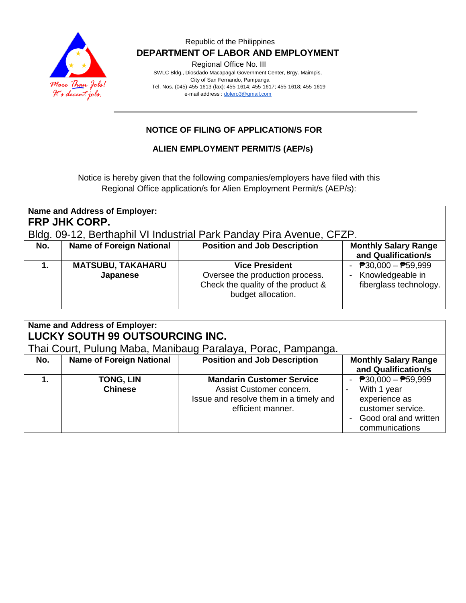

Regional Office No. III

 SWLC Bldg., Diosdado Macapagal Government Center, Brgy. Maimpis, City of San Fernando, Pampanga Tel. Nos. (045)-455-1613 (fax): 455-1614; 455-1617; 455-1618; 455-1619 e-mail address [: dolero3@gmail.com](mailto:dolero3@gmail.com)

## **NOTICE OF FILING OF APPLICATION/S FOR**

#### **ALIEN EMPLOYMENT PERMIT/S (AEP/s)**

Notice is hereby given that the following companies/employers have filed with this Regional Office application/s for Alien Employment Permit/s (AEP/s):

| Name and Address of Employer:<br><b>FRP JHK CORP.</b><br>Bldg. 09-12, Berthaphil VI Industrial Park Panday Pira Avenue, CFZP. |                                      |                                                                                                                      |                                                                                         |
|-------------------------------------------------------------------------------------------------------------------------------|--------------------------------------|----------------------------------------------------------------------------------------------------------------------|-----------------------------------------------------------------------------------------|
| No.                                                                                                                           | <b>Name of Foreign National</b>      | <b>Position and Job Description</b>                                                                                  | <b>Monthly Salary Range</b><br>and Qualification/s                                      |
|                                                                                                                               | <b>MATSUBU, TAKAHARU</b><br>Japanese | <b>Vice President</b><br>Oversee the production process.<br>Check the quality of the product &<br>budget allocation. | $\overline{P}30,000 - \overline{P}59,999$<br>Knowledgeable in<br>fiberglass technology. |

| Name and Address of Employer:<br>LUCKY SOUTH 99 OUTSOURCING INC.<br>Thai Court, Pulung Maba, Manibaug Paralaya, Porac, Pampanga. |                                    |                                                                                                                             |                                                                                                                                                   |  |
|----------------------------------------------------------------------------------------------------------------------------------|------------------------------------|-----------------------------------------------------------------------------------------------------------------------------|---------------------------------------------------------------------------------------------------------------------------------------------------|--|
| No.                                                                                                                              | <b>Name of Foreign National</b>    | <b>Position and Job Description</b>                                                                                         | <b>Monthly Salary Range</b><br>and Qualification/s                                                                                                |  |
|                                                                                                                                  | <b>TONG, LIN</b><br><b>Chinese</b> | <b>Mandarin Customer Service</b><br>Assist Customer concern.<br>Issue and resolve them in a timely and<br>efficient manner. | - $P30,000 - P59,999$<br>With 1 year<br>$\overline{\phantom{a}}$<br>experience as<br>customer service.<br>Good oral and written<br>communications |  |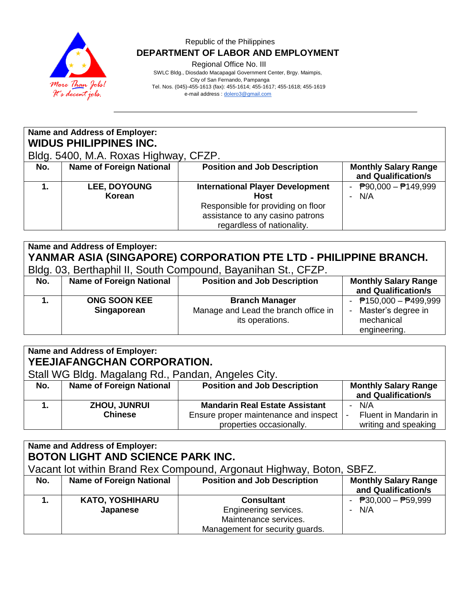

Regional Office No. III

 SWLC Bldg., Diosdado Macapagal Government Center, Brgy. Maimpis, City of San Fernando, Pampanga Tel. Nos. (045)-455-1613 (fax): 455-1614; 455-1617; 455-1618; 455-1619 e-mail address [: dolero3@gmail.com](mailto:dolero3@gmail.com)

| Name and Address of Employer:<br><b>WIDUS PHILIPPINES INC.</b><br>Bldg. 5400, M.A. Roxas Highway, CFZP. |                                 |                                                                                                                                                                |                                                    |  |
|---------------------------------------------------------------------------------------------------------|---------------------------------|----------------------------------------------------------------------------------------------------------------------------------------------------------------|----------------------------------------------------|--|
| No.                                                                                                     | <b>Name of Foreign National</b> | <b>Position and Job Description</b>                                                                                                                            | <b>Monthly Salary Range</b><br>and Qualification/s |  |
|                                                                                                         | <b>LEE, DOYOUNG</b><br>Korean   | <b>International Player Development</b><br><b>Host</b><br>Responsible for providing on floor<br>assistance to any casino patrons<br>regardless of nationality. | - $P90,000 - P149,999$<br>N/A                      |  |

|                                                                  | <b>Name and Address of Employer:</b> |                                                               |                             |  |  |
|------------------------------------------------------------------|--------------------------------------|---------------------------------------------------------------|-----------------------------|--|--|
| YANMAR ASIA (SINGAPORE) CORPORATION PTE LTD - PHILIPPINE BRANCH. |                                      |                                                               |                             |  |  |
|                                                                  |                                      | Bldg. 03, Berthaphil II, South Compound, Bayanihan St., CFZP. |                             |  |  |
| No.                                                              | <b>Name of Foreign National</b>      | <b>Position and Job Description</b>                           | <b>Monthly Salary Range</b> |  |  |
|                                                                  |                                      |                                                               | and Qualification/s         |  |  |
|                                                                  | <b>ONG SOON KEE</b>                  | <b>Branch Manager</b>                                         | - $P$ 150,000 - $P$ 499,999 |  |  |
|                                                                  | Singaporean                          | Manage and Lead the branch office in                          | Master's degree in          |  |  |
|                                                                  |                                      | its operations.                                               | mechanical                  |  |  |
|                                                                  |                                      |                                                               | engineering.                |  |  |

| <b>Name and Address of Employer:</b><br>YEEJIAFANGCHAN CORPORATION.<br>Stall WG Bldg. Magalang Rd., Pandan, Angeles City. |                                       |                                                                                                            |                                                                                  |
|---------------------------------------------------------------------------------------------------------------------------|---------------------------------------|------------------------------------------------------------------------------------------------------------|----------------------------------------------------------------------------------|
| No.                                                                                                                       | <b>Name of Foreign National</b>       | <b>Position and Job Description</b>                                                                        | <b>Monthly Salary Range</b><br>and Qualification/s                               |
|                                                                                                                           | <b>ZHOU, JUNRUI</b><br><b>Chinese</b> | <b>Mandarin Real Estate Assistant</b><br>Ensure proper maintenance and inspect<br>properties occasionally. | N/A<br>Fluent in Mandarin in<br>$\overline{\phantom{a}}$<br>writing and speaking |

| <b>Name and Address of Employer:</b><br><b>BOTON LIGHT AND SCIENCE PARK INC.</b> |                                                                      |                                     |                             |  |  |
|----------------------------------------------------------------------------------|----------------------------------------------------------------------|-------------------------------------|-----------------------------|--|--|
|                                                                                  | Vacant lot within Brand Rex Compound, Argonaut Highway, Boton, SBFZ. |                                     |                             |  |  |
| No.                                                                              | <b>Name of Foreign National</b>                                      | <b>Position and Job Description</b> | <b>Monthly Salary Range</b> |  |  |
|                                                                                  |                                                                      |                                     | and Qualification/s         |  |  |
|                                                                                  | <b>KATO, YOSHIHARU</b>                                               | <b>Consultant</b>                   | - $P30,000 - P59,999$       |  |  |
|                                                                                  | Japanese                                                             | Engineering services.               | $- N/A$                     |  |  |
|                                                                                  |                                                                      | Maintenance services.               |                             |  |  |
|                                                                                  |                                                                      | Management for security guards.     |                             |  |  |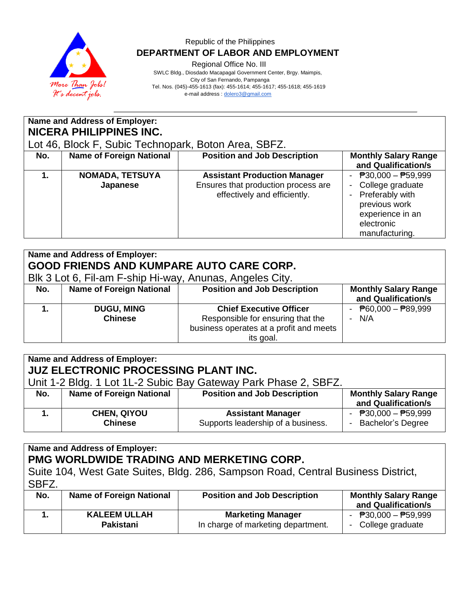

Regional Office No. III

 SWLC Bldg., Diosdado Macapagal Government Center, Brgy. Maimpis, City of San Fernando, Pampanga Tel. Nos. (045)-455-1613 (fax): 455-1614; 455-1617; 455-1618; 455-1619

e-mail address [: dolero3@gmail.com](mailto:dolero3@gmail.com)

| Name and Address of Employer:<br><b>NICERA PHILIPPINES INC.</b> |                                                      |                                                                                                            |                                                                                                                                   |  |  |
|-----------------------------------------------------------------|------------------------------------------------------|------------------------------------------------------------------------------------------------------------|-----------------------------------------------------------------------------------------------------------------------------------|--|--|
|                                                                 | Lot 46, Block F, Subic Technopark, Boton Area, SBFZ. |                                                                                                            |                                                                                                                                   |  |  |
| No.                                                             | <b>Name of Foreign National</b>                      | <b>Position and Job Description</b>                                                                        | <b>Monthly Salary Range</b><br>and Qualification/s                                                                                |  |  |
|                                                                 | <b>NOMADA, TETSUYA</b><br>Japanese                   | <b>Assistant Production Manager</b><br>Ensures that production process are<br>effectively and efficiently. | - $P30,000 - P59,999$<br>College graduate<br>Preferably with<br>previous work<br>experience in an<br>electronic<br>manufacturing. |  |  |

| <b>Name and Address of Employer:</b><br><b>GOOD FRIENDS AND KUMPARE AUTO CARE CORP.</b><br>Blk 3 Lot 6, Fil-am F-ship Hi-way, Anunas, Angeles City. |                                 |                                         |                                             |  |
|-----------------------------------------------------------------------------------------------------------------------------------------------------|---------------------------------|-----------------------------------------|---------------------------------------------|--|
|                                                                                                                                                     |                                 |                                         |                                             |  |
| No.                                                                                                                                                 | <b>Name of Foreign National</b> | <b>Position and Job Description</b>     | <b>Monthly Salary Range</b>                 |  |
|                                                                                                                                                     |                                 |                                         | and Qualification/s                         |  |
|                                                                                                                                                     | <b>DUGU, MING</b>               | <b>Chief Executive Officer</b>          | - $\overline{P}60,000 - \overline{P}89,999$ |  |
|                                                                                                                                                     | <b>Chinese</b>                  | Responsible for ensuring that the       | $- N/A$                                     |  |
|                                                                                                                                                     |                                 | business operates at a profit and meets |                                             |  |
|                                                                                                                                                     |                                 | its goal.                               |                                             |  |

| Name and Address of Employer:<br>JUZ ELECTRONIC PROCESSING PLANT INC. |                                      |                                                                |                                                    |  |
|-----------------------------------------------------------------------|--------------------------------------|----------------------------------------------------------------|----------------------------------------------------|--|
| Unit 1-2 Bldg. 1 Lot 1L-2 Subic Bay Gateway Park Phase 2, SBFZ.       |                                      |                                                                |                                                    |  |
| No.                                                                   | <b>Name of Foreign National</b>      | <b>Position and Job Description</b>                            | <b>Monthly Salary Range</b><br>and Qualification/s |  |
|                                                                       | <b>CHEN, QIYOU</b><br><b>Chinese</b> | <b>Assistant Manager</b><br>Supports leadership of a business. | - $P30,000 - P59,999$<br>- Bachelor's Degree       |  |

**Name and Address of Employer: PMG WORLDWIDE TRADING AND MERKETING CORP.** Suite 104, West Gate Suites, Bldg. 286, Sampson Road, Central Business District, SBFZ.

| ODFZ. |                                  |                                                                |                                                                   |  |
|-------|----------------------------------|----------------------------------------------------------------|-------------------------------------------------------------------|--|
| No.   | <b>Name of Foreign National</b>  | <b>Position and Job Description</b>                            | <b>Monthly Salary Range</b><br>and Qualification/s                |  |
|       | <b>KALEEM ULLAH</b><br>Pakistani | <b>Marketing Manager</b><br>In charge of marketing department. | - $\overline{P}30.000 - \overline{P}59.999$<br>- College graduate |  |